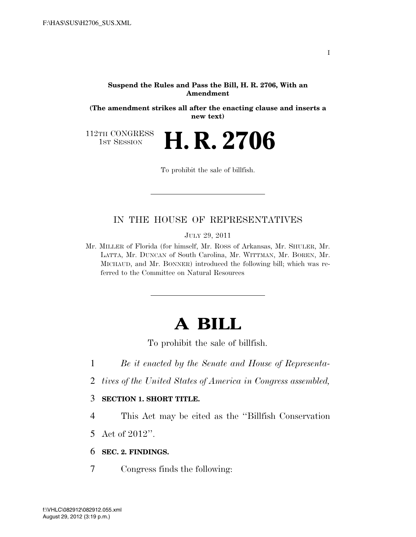#### **Suspend the Rules and Pass the Bill, H. R. 2706, With an Amendment**

**(The amendment strikes all after the enacting clause and inserts a new text)** 

112TH CONGRESS<br>1st Session

1ST SESSION **H. R. 2706**

To prohibit the sale of billfish.

## IN THE HOUSE OF REPRESENTATIVES

JULY 29, 2011

Mr. MILLER of Florida (for himself, Mr. ROSS of Arkansas, Mr. SHULER, Mr. LATTA, Mr. DUNCAN of South Carolina, Mr. WITTMAN, Mr. BOREN, Mr. MICHAUD, and Mr. BONNER) introduced the following bill; which was referred to the Committee on Natural Resources

# **A BILL**

To prohibit the sale of billfish.

- 1 *Be it enacted by the Senate and House of Representa-*
- 2 *tives of the United States of America in Congress assembled,*

#### 3 **SECTION 1. SHORT TITLE.**

- 4 This Act may be cited as the ''Billfish Conservation
- 5 Act of 2012''.
- 6 **SEC. 2. FINDINGS.**
- 7 Congress finds the following: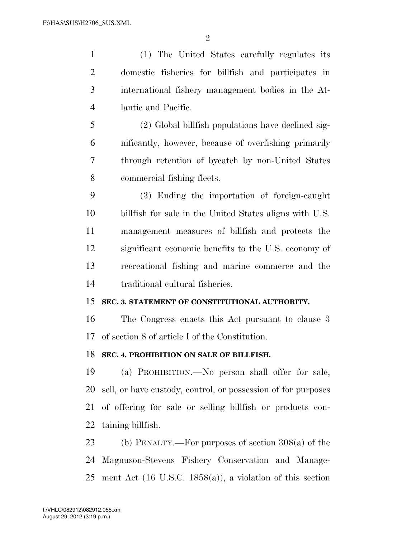$\mathfrak{D}$ 

 (1) The United States carefully regulates its domestic fisheries for billfish and participates in international fishery management bodies in the At- lantic and Pacific. (2) Global billfish populations have declined sig-

 nificantly, however, because of overfishing primarily through retention of bycatch by non-United States commercial fishing fleets.

 (3) Ending the importation of foreign-caught billfish for sale in the United States aligns with U.S. management measures of billfish and protects the significant economic benefits to the U.S. economy of recreational fishing and marine commerce and the traditional cultural fisheries.

#### **SEC. 3. STATEMENT OF CONSTITUTIONAL AUTHORITY.**

 The Congress enacts this Act pursuant to clause 3 of section 8 of article I of the Constitution.

### **SEC. 4. PROHIBITION ON SALE OF BILLFISH.**

 (a) PROHIBITION.—No person shall offer for sale, sell, or have custody, control, or possession of for purposes of offering for sale or selling billfish or products con-taining billfish.

 (b) PENALTY.—For purposes of section 308(a) of the Magnuson-Stevens Fishery Conservation and Manage-ment Act (16 U.S.C. 1858(a)), a violation of this section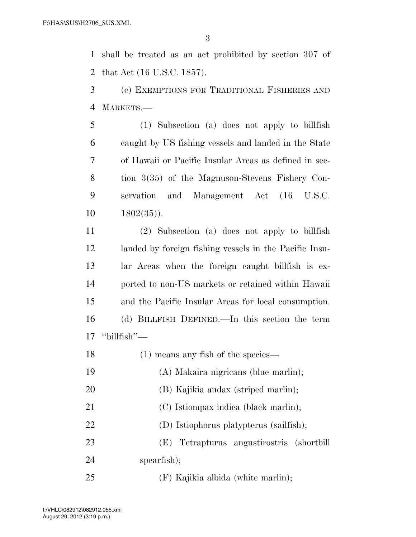shall be treated as an act prohibited by section 307 of that Act (16 U.S.C. 1857).

 (c) EXEMPTIONS FOR TRADITIONAL FISHERIES AND MARKETS.—

 (1) Subsection (a) does not apply to billfish caught by US fishing vessels and landed in the State of Hawaii or Pacific Insular Areas as defined in sec- tion 3(35) of the Magnuson-Stevens Fishery Con- servation and Management Act (16 U.S.C. 1802(35)).

 (2) Subsection (a) does not apply to billfish landed by foreign fishing vessels in the Pacific Insu- lar Areas when the foreign caught billfish is ex- ported to non-US markets or retained within Hawaii and the Pacific Insular Areas for local consumption. (d) BILLFISH DEFINED.—In this section the term "billfish"—

18 (1) means any fish of the species— (A) Makaira nigricans (blue marlin); (B) Kajikia audax (striped marlin); 21 (C) Istiompax indica (black marlin); (D) Istiophorus platypterus (sailfish); (E) Tetrapturus angustirostris (shortbill spearfish); (F) Kajikia albida (white marlin);